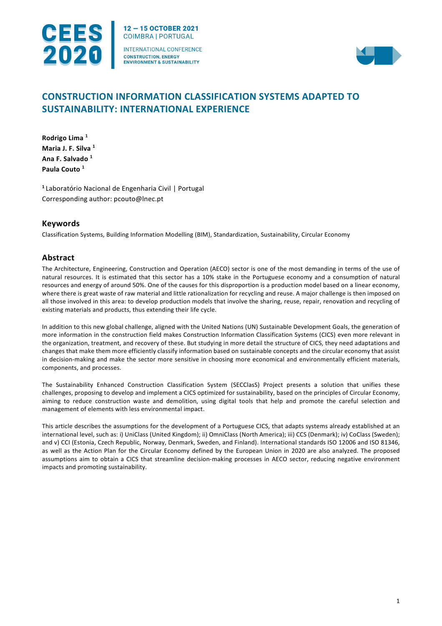

12-15 OCTOBER 2021 **COIMBRA | PORTUGAL** INTERNATIONAL CONFERENCE

**CONSTRUCTION, ENERGY** ENVIRONMENT & SUSTAINABILITY



# **CONSTRUCTION INFORMATION CLASSIFICATION SYSTEMS ADAPTED TO SUSTAINABILITY: INTERNATIONAL EXPERIENCE**

**Rodrigo Lima <sup>1</sup> Maria J. F. Silva <sup>1</sup> Ana F. Salvado <sup>1</sup> Paula Couto <sup>1</sup>**

**<sup>1</sup>**Laboratório Nacional de Engenharia Civil | Portugal Corresponding author: pcouto@lnec.pt

### **Keywords**

Classification Systems, Building Information Modelling (BIM), Standardization, Sustainability, Circular Economy

## **Abstract**

The Architecture, Engineering, Construction and Operation (AECO) sector is one of the most demanding in terms of the use of natural resources. It is estimated that this sector has a 10% stake in the Portuguese economy and a consumption of natural resources and energy of around 50%. One of the causes for this disproportion is a production model based on a linear economy, where there is great waste of raw material and little rationalization for recycling and reuse. A major challenge is then imposed on all those involved in this area: to develop production models that involve the sharing, reuse, repair, renovation and recycling of existing materials and products, thus extending their life cycle.

In addition to this new global challenge, aligned with the United Nations (UN) Sustainable Development Goals, the generation of more information in the construction field makes Construction Information Classification Systems (CICS) even more relevant in the organization, treatment, and recovery of these. But studying in more detail the structure of CICS, they need adaptations and changes that make them more efficiently classify information based on sustainable concepts and the circular economy that assist in decision-making and make the sector more sensitive in choosing more economical and environmentally efficient materials, components, and processes.

The Sustainability Enhanced Construction Classification System (SECClasS) Project presents a solution that unifies these challenges, proposing to develop and implement a CICS optimized for sustainability, based on the principles of Circular Economy, aiming to reduce construction waste and demolition, using digital tools that help and promote the careful selection and management of elements with less environmental impact.

This article describes the assumptions for the development of a Portuguese CICS, that adapts systems already established at an international level, such as: i) UniClass (United Kingdom); ii) OmniClass (North America); iii) CCS (Denmark); iv) CoClass (Sweden); and v) CCI (Estonia, Czech Republic, Norway, Denmark, Sweden, and Finland). International standards ISO 12006 and ISO 81346, as well as the Action Plan for the Circular Economy defined by the European Union in 2020 are also analyzed. The proposed assumptions aim to obtain a CICS that streamline decision-making processes in AECO sector, reducing negative environment impacts and promoting sustainability.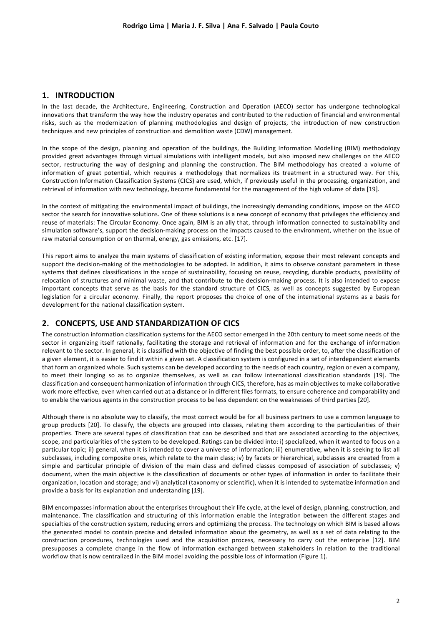### **1. INTRODUCTION**

In the last decade, the Architecture, Engineering, Construction and Operation (AECO) sector has undergone technological innovations that transform the way how the industry operates and contributed to the reduction of financial and environmental risks, such as the modernization of planning methodologies and design of projects, the introduction of new construction techniques and new principles of construction and demolition waste (CDW) management.

In the scope of the design, planning and operation of the buildings, the Building Information Modelling (BIM) methodology provided great advantages through virtual simulations with intelligent models, but also imposed new challenges on the AECO sector, restructuring the way of designing and planning the construction. The BIM methodology has created a volume of information of great potential, which requires a methodology that normalizes its treatment in a structured way. For this, Construction Information Classification Systems (CICS) are used, which, if previously useful in the processing, organization, and retrieval of information with new technology, become fundamental for the management of the high volume of data [19].

In the context of mitigating the environmental impact of buildings, the increasingly demanding conditions, impose on the AECO sector the search for innovative solutions. One of these solutions is a new concept of economy that privileges the efficiency and reuse of materials: The Circular Economy. Once again, BIM is an ally that, through information connected to sustainability and simulation software's, support the decision-making process on the impacts caused to the environment, whether on the issue of raw material consumption or on thermal, energy, gas emissions, etc. [17].

This report aims to analyze the main systems of classification of existing information, expose their most relevant concepts and support the decision-making of the methodologies to be adopted. In addition, it aims to observe constant parameters in these systems that defines classifications in the scope of sustainability, focusing on reuse, recycling, durable products, possibility of relocation of structures and minimal waste, and that contribute to the decision-making process. It is also intended to expose important concepts that serve as the basis for the standard structure of CICS, as well as concepts suggested by European legislation for a circular economy. Finally, the report proposes the choice of one of the international systems as a basis for development for the national classification system.

### **2. CONCEPTS, USE AND STANDARDIZATION OF CICS**

The construction information classification systems for the AECO sector emerged in the 20th century to meet some needs of the sector in organizing itself rationally, facilitating the storage and retrieval of information and for the exchange of information relevant to the sector. In general, it is classified with the objective of finding the best possible order, to, after the classification of a given element, it is easier to find it within a given set. A classification system is configured in a set of interdependent elements that form an organized whole. Such systems can be developed according to the needs of each country, region or even a company, to meet their longing so as to organize themselves, as well as can follow international classification standards [19]. The classification and consequent harmonization of information through CICS, therefore, has as main objectives to make collaborative work more effective, even when carried out at a distance or in different files formats, to ensure coherence and comparability and to enable the various agents in the construction process to be less dependent on the weaknesses of third parties [20].

Although there is no absolute way to classify, the most correct would be for all business partners to use a common language to group products [20]. To classify, the objects are grouped into classes, relating them according to the particularities of their properties. There are several types of classification that can be described and that are associated according to the objectives, scope, and particularities of the system to be developed. Ratings can be divided into: i) specialized, when it wanted to focus on a particular topic; ii) general, when it is intended to cover a universe of information; iii) enumerative, when it is seeking to list all subclasses, including composite ones, which relate to the main class; iv) by facets or hierarchical, subclasses are created from a simple and particular principle of division of the main class and defined classes composed of association of subclasses; v) document, when the main objective is the classification of documents or other types of information in order to facilitate their organization, location and storage; and vi) analytical (taxonomy or scientific), when it is intended to systematize information and provide a basis for its explanation and understanding [19].

BIM encompasses information about the enterprises throughout their life cycle, at the level of design, planning, construction, and maintenance. The classification and structuring of this information enable the integration between the different stages and specialties of the construction system, reducing errors and optimizing the process. The technology on which BIM is based allows the generated model to contain precise and detailed information about the geometry, as well as a set of data relating to the construction procedures, technologies used and the acquisition process, necessary to carry out the enterprise [12]. BIM presupposes a complete change in the flow of information exchanged between stakeholders in relation to the traditional workflow that is now centralized in the BIM model avoiding the possible loss of information (Figure 1).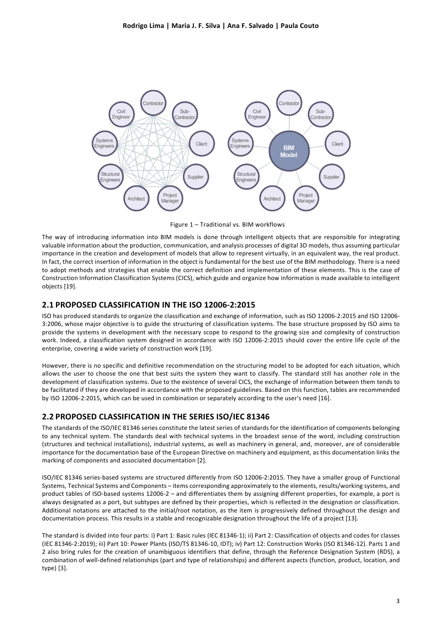

Figure 1 – Traditional vs. BIM workflows

The way of introducing information into BIM models is done through intelligent objects that are responsible for integrating valuable information about the production, communication, and analysis processes of digital 3D models, thus assuming particular importance in the creation and development of models that allow to represent virtually, in an equivalent way, the real product. In fact, the correct insertion of information in the object is fundamental for the best use of the BIM methodology. There is a need to adopt methods and strategies that enable the correct definition and implementation of these elements. This is the case of Construction Information Classification Systems (CICS), which guide and organize how information is made available to intelligent objects [19].

### **2.1 PROPOSED CLASSIFICATION IN THE ISO 12006-2:2015**

ISO has produced standards to organize the classification and exchange of information, such as ISO 12006-2:2015 and ISO 12006- 3:2006, whose major objective is to guide the structuring of classification systems. The base structure proposed by ISO aims to provide the systems in development with the necessary scope to respond to the growing size and complexity of construction work. Indeed, a classification system designed in accordance with ISO 12006-2:2015 should cover the entire life cycle of the enterprise, covering a wide variety of construction work [19].

However, there is no specific and definitive recommendation on the structuring model to be adopted for each situation, which allows the user to choose the one that best suits the system they want to classify. The standard still has another role in the development of classification systems. Due to the existence of several CICS, the exchange of information between them tends to be facilitated if they are developed in accordance with the proposed guidelines. Based on this function, tables are recommended by ISO 12006-2:2015, which can be used in combination or separately according to the user's need [16].

# **2.2 PROPOSED CLASSIFICATION IN THE SERIES ISO/IEC 81346**

The standards of the ISO/IEC 81346 series constitute the latest series of standards for the identification of components belonging to any technical system. The standards deal with technical systems in the broadest sense of the word, including construction (structures and technical installations), industrial systems, as well as machinery in general, and, moreover, are of considerable importance for the documentation base of the European Directive on machinery and equipment, as this documentation links the marking of components and associated documentation [2].

ISO/IEC 81346 series-based systems are structured differently from ISO 12006-2:2015. They have a smaller group of Functional Systems, Technical Systems and Components – items corresponding approximately to the elements, results/working systems, and product tables of ISO-based systems 12006-2 – and differentiates them by assigning different properties, for example, a port is always designated as a port, but subtypes are defined by their properties, which is reflected in the designation or classification. Additional notations are attached to the initial/root notation, as the item is progressively defined throughout the design and documentation process. This results in a stable and recognizable designation throughout the life of a project [13].

The standard is divided into four parts: i) Part 1: Basic rules (IEC 81346-1); ii) Part 2: Classification of objects and codes for classes (IEC 81346-2:2019); iii) Part 10: Power Plants (ISO/TS 81346-10, IDT); iv) Part 12: Construction Works (ISO 81346-12). Parts 1 and 2 also bring rules for the creation of unambiguous identifiers that define, through the Reference Designation System (RDS), a combination of well-defined relationships (part and type of relationships) and different aspects (function, product, location, and type) [3].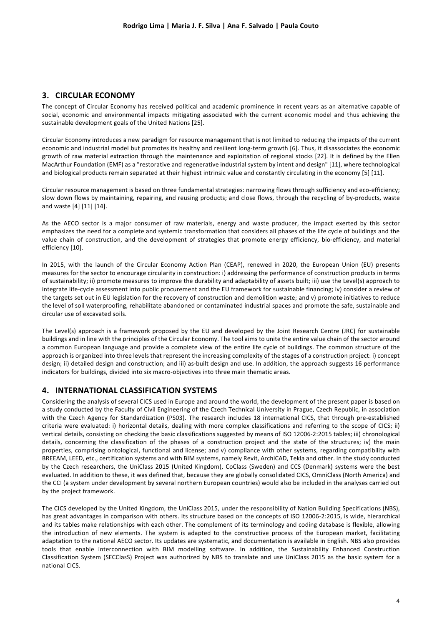### **3. CIRCULAR ECONOMY**

The concept of Circular Economy has received political and academic prominence in recent years as an alternative capable of social, economic and environmental impacts mitigating associated with the current economic model and thus achieving the sustainable development goals of the United Nations [25].

Circular Economy introduces a new paradigm for resource management that is not limited to reducing the impacts of the current economic and industrial model but promotes its healthy and resilient long-term growth [6]. Thus, it disassociates the economic growth of raw material extraction through the maintenance and exploitation of regional stocks [22]. It is defined by the Ellen MacArthur Foundation (EMF) as a "restorative and regenerative industrial system by intent and design" [11], where technological and biological products remain separated at their highest intrinsic value and constantly circulating in the economy [5] [11].

Circular resource management is based on three fundamental strategies: narrowing flows through sufficiency and eco-efficiency; slow down flows by maintaining, repairing, and reusing products; and close flows, through the recycling of by-products, waste and waste [4] [11] [14].

As the AECO sector is a major consumer of raw materials, energy and waste producer, the impact exerted by this sector emphasizes the need for a complete and systemic transformation that considers all phases of the life cycle of buildings and the value chain of construction, and the development of strategies that promote energy efficiency, bio-efficiency, and material efficiency [10].

In 2015, with the launch of the Circular Economy Action Plan (CEAP), renewed in 2020, the European Union (EU) presents measures for the sector to encourage circularity in construction: i) addressing the performance of construction products in terms of sustainability; ii) promote measures to improve the durability and adaptability of assets built; iii) use the Level(s) approach to integrate life-cycle assessment into public procurement and the EU framework for sustainable financing; iv) consider a review of the targets set out in EU legislation for the recovery of construction and demolition waste; and v) promote initiatives to reduce the level of soil waterproofing, rehabilitate abandoned or contaminated industrial spaces and promote the safe, sustainable and circular use of excavated soils.

The Level(s) approach is a framework proposed by the EU and developed by the Joint Research Centre (JRC) for sustainable buildings and in line with the principles of the Circular Economy. The tool aims to unite the entire value chain of the sector around a common European language and provide a complete view of the entire life cycle of buildings. The common structure of the approach is organized into three levels that represent the increasing complexity of the stages of a construction project: i) concept design; ii) detailed design and construction; and iii) as-built design and use. In addition, the approach suggests 16 performance indicators for buildings, divided into six macro-objectives into three main thematic areas.

### **4. INTERNATIONAL CLASSIFICATION SYSTEMS**

Considering the analysis of several CICS used in Europe and around the world, the development of the present paper is based on a study conducted by the Faculty of Civil Engineering of the Czech Technical University in Prague, Czech Republic, in association with the Czech Agency for Standardization (PS03). The research includes 18 international CICS, that through pre-established criteria were evaluated: i) horizontal details, dealing with more complex classifications and referring to the scope of CICS; ii) vertical details, consisting on checking the basic classifications suggested by means of ISO 12006-2:2015 tables; iii) chronological details, concerning the classification of the phases of a construction project and the state of the structures; iv) the main properties, comprising ontological, functional and license; and v) compliance with other systems, regarding compatibility with BREEAM, LEED, etc., certification systems and with BIM systems, namely Revit, ArchiCAD, Tekla and other. In the study conducted by the Czech researchers, the UniClass 2015 (United Kingdom), CoClass (Sweden) and CCS (Denmark) systems were the best evaluated. In addition to these, it was defined that, because they are globally consolidated CICS, OmniClass (North America) and the CCI (a system under development by several northern European countries) would also be included in the analyses carried out by the project framework.

The CICS developed by the United Kingdom, the UniClass 2015, under the responsibility of Nation Building Specifications (NBS), has great advantages in comparison with others. Its structure based on the concepts of ISO 12006-2:2015, is wide, hierarchical and its tables make relationships with each other. The complement of its terminology and coding database is flexible, allowing the introduction of new elements. The system is adapted to the constructive process of the European market, facilitating adaptation to the national AECO sector. Its updates are systematic, and documentation is available in English. NBS also provides tools that enable interconnection with BIM modelling software. In addition, the Sustainability Enhanced Construction Classification System (SECClasS) Project was authorized by NBS to translate and use UniClass 2015 as the basic system for a national CICS.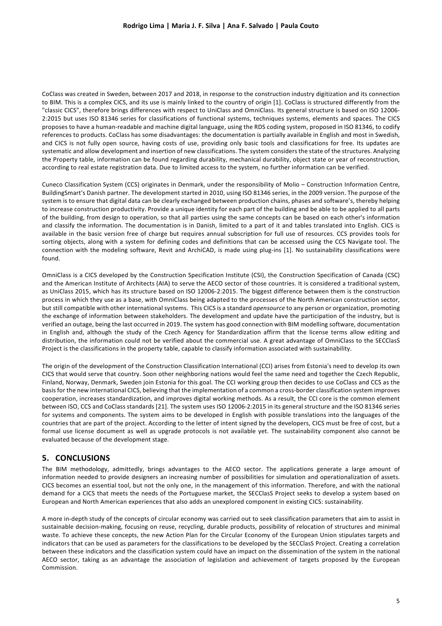CoClass was created in Sweden, between 2017 and 2018, in response to the construction industry digitization and its connection to BIM. This is a complex CICS, and its use is mainly linked to the country of origin [1]. CoClass is structured differently from the "classic CICS", therefore brings differences with respect to UniClass and OmniClass. Its general structure is based on ISO 12006- 2:2015 but uses ISO 81346 series for classifications of functional systems, techniques systems, elements and spaces. The CICS proposes to have a human-readable and machine digital language, using the RDS coding system, proposed in ISO 81346, to codify references to products. CoClass has some disadvantages: the documentation is partially available in English and most in Swedish, and CICS is not fully open source, having costs of use, providing only basic tools and classifications for free. Its updates are systematic and allow development and insertion of new classifications. The system considers the state of the structures. Analyzing the Property table, information can be found regarding durability, mechanical durability, object state or year of reconstruction, according to real estate registration data. Due to limited access to the system, no further information can be verified.

Cuneco Classification System (CCS) originates in Denmark, under the responsibility of Molio – Construction Information Centre, BuildingSmart's Danish partner. The development started in 2010, using ISO 81346 series, in the 2009 version. The purpose of the system is to ensure that digital data can be clearly exchanged between production chains, phases and software's, thereby helping to increase construction productivity. Provide a unique identity for each part of the building and be able to be applied to all parts of the building, from design to operation, so that all parties using the same concepts can be based on each other's information and classify the information. The documentation is in Danish, limited to a part of it and tables translated into English. CICS is available in the basic version free of charge but requires annual subscription for full use of resources. CCS provides tools for sorting objects, along with a system for defining codes and definitions that can be accessed using the CCS Navigate tool. The connection with the modeling software, Revit and ArchiCAD, is made using plug-ins [1]. No sustainability classifications were found.

OmniClass is a CICS developed by the Construction Specification Institute (CSI), the Construction Specification of Canada (CSC) and the American Institute of Architects (AIA) to serve the AECO sector of those countries. It is considered a traditional system, as UniClass 2015, which has its structure based on ISO 12006-2:2015. The biggest difference between them is the construction process in which they use as a base, with OmniClass being adapted to the processes of the North American construction sector, but still compatible with other international systems. This CICS is a standard *opensource* to any person or organization, promoting the exchange of information between stakeholders. The development and update have the participation of the industry, but is verified an outage, being the last occurred in 2019. The system has good connection with BIM modelling software, documentation in English and, although the study of the Czech Agency for Standardization affirm that the license terms allow editing and distribution, the information could not be verified about the commercial use. A great advantage of OmniClass to the SECClasS Project is the classifications in the property table, capable to classify information associated with sustainability.

The origin of the development of the Construction Classification International (CCI) arises from Estonia's need to develop its own CICS that would serve that country. Soon other neighboring nations would feel the same need and together the Czech Republic, Finland, Norway, Denmark, Sweden join Estonia for this goal. The CCI working group then decides to use CoClass and CCS as the basis for the new international CICS, believing that the implementation of a common a cross-border classification system improves cooperation, increases standardization, and improves digital working methods. As a result, the CCI core is the common element between ISO, CCS and CoClass standards [21]. The system uses ISO 12006-2:2015 in its general structure and the ISO 81346 series for systems and components. The system aims to be developed in English with possible translations into the languages of the countries that are part of the project. According to the letter of intent signed by the developers, CICS must be free of cost, but a formal use license document as well as upgrade protocols is not available yet. The sustainability component also cannot be evaluated because of the development stage.

#### **5. CONCLUSIONS**

The BIM methodology, admittedly, brings advantages to the AECO sector. The applications generate a large amount of information needed to provide designers an increasing number of possibilities for simulation and operationalization of assets. CICS becomes an essential tool, but not the only one, in the management of this information. Therefore, and with the national demand for a CICS that meets the needs of the Portuguese market, the SECClasS Project seeks to develop a system based on European and North American experiences that also adds an unexplored component in existing CICS: sustainability.

A more in-depth study of the concepts of circular economy was carried out to seek classification parameters that aim to assist in sustainable decision-making, focusing on reuse, recycling, durable products, possibility of relocation of structures and minimal waste. To achieve these concepts, the new Action Plan for the Circular Economy of the European Union stipulates targets and indicators that can be used as parameters for the classifications to be developed by the SECClasS Project. Creating a correlation between these indicators and the classification system could have an impact on the dissemination of the system in the national AECO sector, taking as an advantage the association of legislation and achievement of targets proposed by the European Commission.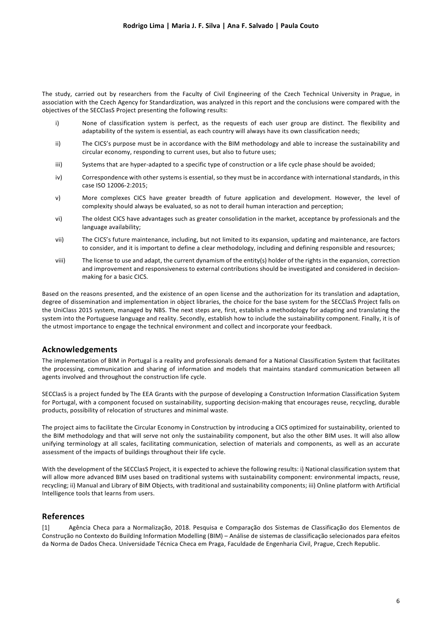The study, carried out by researchers from the Faculty of Civil Engineering of the Czech Technical University in Prague, in association with the Czech Agency for Standardization, was analyzed in this report and the conclusions were compared with the objectives of the SECClasS Project presenting the following results:

- i) None of classification system is perfect, as the requests of each user group are distinct. The flexibility and adaptability of the system is essential, as each country will always have its own classification needs;
- ii) The CICS's purpose must be in accordance with the BIM methodology and able to increase the sustainability and circular economy, responding to current uses, but also to future uses;
- iii) Systems that are hyper-adapted to a specific type of construction or a life cycle phase should be avoided;
- iv) Correspondence with other systems is essential, so they must be in accordance with international standards, in this case ISO 12006-2:2015;
- v) More complexes CICS have greater breadth of future application and development. However, the level of complexity should always be evaluated, so as not to derail human interaction and perception;
- vi) The oldest CICS have advantages such as greater consolidation in the market, acceptance by professionals and the language availability;
- vii) The CICS's future maintenance, including, but not limited to its expansion, updating and maintenance, are factors to consider, and it is important to define a clear methodology, including and defining responsible and resources;
- viii) The license to use and adapt, the current dynamism of the entity(s) holder of the rights in the expansion, correction and improvement and responsiveness to external contributions should be investigated and considered in decisionmaking for a basic CICS.

Based on the reasons presented, and the existence of an open license and the authorization for its translation and adaptation, degree of dissemination and implementation in object libraries, the choice for the base system for the SECClasS Project falls on the UniClass 2015 system, managed by NBS. The next steps are, first, establish a methodology for adapting and translating the system into the Portuguese language and reality. Secondly, establish how to include the sustainability component. Finally, it is of the utmost importance to engage the technical environment and collect and incorporate your feedback.

#### **Acknowledgements**

The implementation of BIM in Portugal is a reality and professionals demand for a National Classification System that facilitates the processing, communication and sharing of information and models that maintains standard communication between all agents involved and throughout the construction life cycle.

SECClasS is a project funded by The EEA Grants with the purpose of developing a Construction Information Classification System for Portugal, with a component focused on sustainability, supporting decision-making that encourages reuse, recycling, durable products, possibility of relocation of structures and minimal waste.

The project aims to facilitate the Circular Economy in Construction by introducing a CICS optimized for sustainability, oriented to the BIM methodology and that will serve not only the sustainability component, but also the other BIM uses. It will also allow unifying terminology at all scales, facilitating communication, selection of materials and components, as well as an accurate assessment of the impacts of buildings throughout their life cycle.

With the development of the SECClasS Project, it is expected to achieve the following results: i) National classification system that will allow more advanced BIM uses based on traditional systems with sustainability component: environmental impacts, reuse, recycling; ii) Manual and Library of BIM Objects, with traditional and sustainability components; iii) Online platform with Artificial Intelligence tools that learns from users.

### **References**

[1] Agência Checa para a Normalização, 2018. Pesquisa e Comparação dos Sistemas de Classificação dos Elementos de Construção no Contexto do Building Information Modelling (BIM) – Análise de sistemas de classificação selecionados para efeitos da Norma de Dados Checa. Universidade Técnica Checa em Praga, Faculdade de Engenharia Civil, Prague, Czech Republic.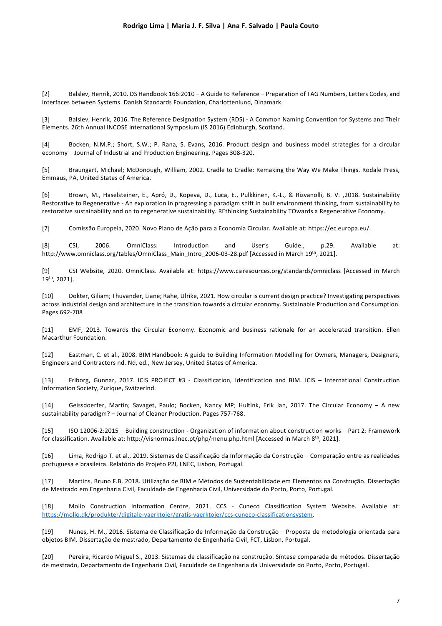[2] Balslev, Henrik, 2010. DS Handbook 166:2010 – A Guide to Reference – Preparation of TAG Numbers, Letters Codes, and interfaces between Systems. Danish Standards Foundation, Charlottenlund, Dinamark.

[3] Balslev, Henrik, 2016. The Reference Designation System (RDS) - A Common Naming Convention for Systems and Their Elements. 26th Annual INCOSE International Symposium (IS 2016) Edinburgh, Scotland.

[4] Bocken, N.M.P.; Short, S.W.; P. Rana, S. Evans, 2016. Product design and business model strategies for a circular economy – Journal of Industrial and Production Engineering. Pages 308-320.

[5] Braungart, Michael; McDonough, William, 2002. Cradle to Cradle: Remaking the Way We Make Things. Rodale Press, Emmaus, PA, United States of America.

[6] Brown, M., Haselsteiner, E., Apró, D., Kopeva, D., Luca, E., Pulkkinen, K.-L., & Rizvanolli, B. V. ,2018. Sustainability Restorative to Regenerative - An exploration in progressing a paradigm shift in built environment thinking, from sustainability to restorative sustainability and on to regenerative sustainability. REthinking Sustainability TOwards a Regenerative Economy.

[7] Comissão Europeia, 2020. Novo Plano de Ação para a Economia Circular. Available at: https://ec.europa.eu/.

[8] CSI, 2006. OmniClass: Introduction and User's Guide., p.29. Available at: http://www.omniclass.org/tables/OmniClass Main\_Intro\_2006-03-28.pdf [Accessed in March 19<sup>th</sup>, 2021].

[9] CSI Website, 2020. OmniClass. Available at: https://www.csiresources.org/standards/omniclass [Accessed in March 19th, 2021].

[10] Dokter, Giliam; Thuvander, Liane; Rahe, Ulrike, 2021. How circular is current design practice? Investigating perspectives across industrial design and architecture in the transition towards a circular economy. Sustainable Production and Consumption. Pages 692-708

[11] EMF, 2013. Towards the Circular Economy. Economic and business rationale for an accelerated transition. Ellen Macarthur Foundation.

[12] Eastman, C. et al., 2008. BIM Handbook: A guide to Building Information Modelling for Owners, Managers, Designers, Engineers and Contractors nd. Nd, ed., New Jersey, United States of America.

[13] Friborg, Gunnar, 2017. ICIS PROJECT #3 - Classification, Identification and BIM. ICIS – International Construction Information Society, Zurique, Switzerlnd.

[14] Geissdoerfer, Martin; Savaget, Paulo; Bocken, Nancy MP; Hultink, Erik Jan, 2017. The Circular Economy – A new sustainability paradigm? – Journal of Cleaner Production. Pages 757-768.

[15] ISO 12006-2:2015 – Building construction - Organization of information about construction works – Part 2: Framework for classification. Available at: http://visnormas.lnec.pt/php/menu.php.html [Accessed in March 8th, 2021].

[16] Lima, Rodrigo T. et al., 2019. Sistemas de Classificação da Informação da Construção – Comparação entre as realidades portuguesa e brasileira. Relatório do Projeto P2I, LNEC, Lisbon, Portugal.

[17] Martins, Bruno F.B, 2018. Utilização de BIM e Métodos de Sustentabilidade em Elementos na Construção. Dissertação de Mestrado em Engenharia Civil, Faculdade de Engenharia Civil, Universidade do Porto, Porto, Portugal.

[18] Molio Construction Information Centre, 2021. CCS - Cuneco Classification System Website. Available at: https://molio.dk/produkter/digitale-vaerktojer/gratis-vaerktojer/ccs-cuneco-classificationsystem.

[19] Nunes, H. M., 2016. Sistema de Classificação de Informação da Construção – Proposta de metodologia orientada para objetos BIM. Dissertação de mestrado, Departamento de Engenharia Civil, FCT, Lisbon, Portugal.

[20] Pereira, Ricardo Miguel S., 2013. Sistemas de classificação na construção. Síntese comparada de métodos. Dissertação de mestrado, Departamento de Engenharia Civil, Faculdade de Engenharia da Universidade do Porto, Porto, Portugal.